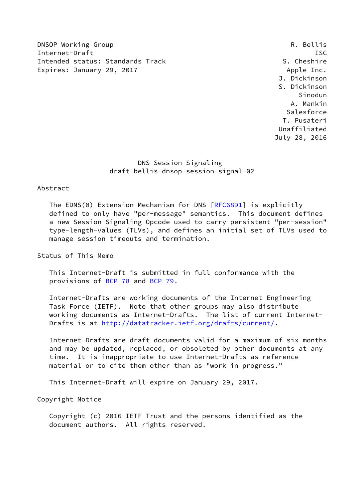DNSOP Working Group **R. Bellis** Internet-Draft ISC Intended status: Standards Track S. Cheshire Expires: January 29, 2017 **Apple Inc.** Apple Inc.

 J. Dickinson S. Dickinson Sinodun A. Mankin Salesforce T. Pusateri Unaffiliated July 28, 2016

# DNS Session Signaling draft-bellis-dnsop-session-signal-02

### Abstract

 The EDNS(0) Extension Mechanism for DNS [\[RFC6891](https://datatracker.ietf.org/doc/pdf/rfc6891)] is explicitly defined to only have "per-message" semantics. This document defines a new Session Signaling Opcode used to carry persistent "per-session" type-length-values (TLVs), and defines an initial set of TLVs used to manage session timeouts and termination.

Status of This Memo

 This Internet-Draft is submitted in full conformance with the provisions of [BCP 78](https://datatracker.ietf.org/doc/pdf/bcp78) and [BCP 79](https://datatracker.ietf.org/doc/pdf/bcp79).

 Internet-Drafts are working documents of the Internet Engineering Task Force (IETF). Note that other groups may also distribute working documents as Internet-Drafts. The list of current Internet Drafts is at<http://datatracker.ietf.org/drafts/current/>.

 Internet-Drafts are draft documents valid for a maximum of six months and may be updated, replaced, or obsoleted by other documents at any time. It is inappropriate to use Internet-Drafts as reference material or to cite them other than as "work in progress."

This Internet-Draft will expire on January 29, 2017.

Copyright Notice

 Copyright (c) 2016 IETF Trust and the persons identified as the document authors. All rights reserved.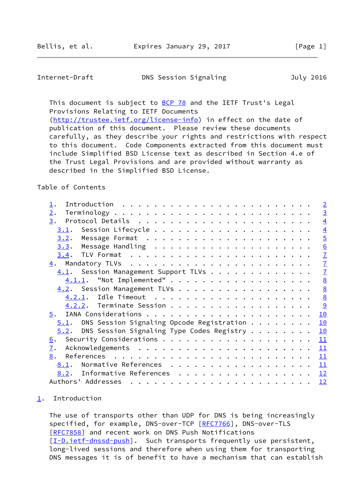<span id="page-1-1"></span>Internet-Draft DNS Session Signaling July 2016

This document is subject to **[BCP 78](https://datatracker.ietf.org/doc/pdf/bcp78)** and the IETF Trust's Legal Provisions Relating to IETF Documents [\(http://trustee.ietf.org/license-info](http://trustee.ietf.org/license-info)) in effect on the date of

 publication of this document. Please review these documents carefully, as they describe your rights and restrictions with respect to this document. Code Components extracted from this document must include Simplified BSD License text as described in Section 4.e of the Trust Legal Provisions and are provided without warranty as described in the Simplified BSD License.

# Table of Contents

|                                                                                                                                                                                                                                                                                                                                                                                                                                                                                  | $\overline{\phantom{0}}$ |
|----------------------------------------------------------------------------------------------------------------------------------------------------------------------------------------------------------------------------------------------------------------------------------------------------------------------------------------------------------------------------------------------------------------------------------------------------------------------------------|--------------------------|
| 2.                                                                                                                                                                                                                                                                                                                                                                                                                                                                               | $\overline{3}$           |
| 3.                                                                                                                                                                                                                                                                                                                                                                                                                                                                               | $\overline{4}$           |
| 3.1.                                                                                                                                                                                                                                                                                                                                                                                                                                                                             | $\overline{4}$           |
| 3.2.                                                                                                                                                                                                                                                                                                                                                                                                                                                                             | $\overline{5}$           |
|                                                                                                                                                                                                                                                                                                                                                                                                                                                                                  | 6                        |
|                                                                                                                                                                                                                                                                                                                                                                                                                                                                                  | $\overline{1}$           |
|                                                                                                                                                                                                                                                                                                                                                                                                                                                                                  | $\overline{1}$           |
| 4.1. Session Management Support TLVs                                                                                                                                                                                                                                                                                                                                                                                                                                             | $\overline{1}$           |
| 4.1.1. "Not Implemented"                                                                                                                                                                                                                                                                                                                                                                                                                                                         | 8                        |
| 4.2. Session Management TLVs                                                                                                                                                                                                                                                                                                                                                                                                                                                     | $\underline{8}$          |
|                                                                                                                                                                                                                                                                                                                                                                                                                                                                                  | $\underline{8}$          |
| 4.2.2. Terminate Session                                                                                                                                                                                                                                                                                                                                                                                                                                                         | 9                        |
| 5.                                                                                                                                                                                                                                                                                                                                                                                                                                                                               | 10                       |
| $5.1$ . DNS Session Signaling Opcode Registration                                                                                                                                                                                                                                                                                                                                                                                                                                | 10                       |
| DNS Session Signaling Type Codes Registry<br>5.2.                                                                                                                                                                                                                                                                                                                                                                                                                                | 10                       |
| 6.                                                                                                                                                                                                                                                                                                                                                                                                                                                                               | 11                       |
| 7.                                                                                                                                                                                                                                                                                                                                                                                                                                                                               | 11                       |
| 8.                                                                                                                                                                                                                                                                                                                                                                                                                                                                               | 11                       |
| Normative References<br>8.1.                                                                                                                                                                                                                                                                                                                                                                                                                                                     | 11                       |
| Informative References 12<br>8.2.                                                                                                                                                                                                                                                                                                                                                                                                                                                |                          |
| Authors' Addresses<br>$\mathbf{a}^{\top} \cdot \mathbf{a}^{\top} \cdot \mathbf{a}^{\top} \cdot \mathbf{a}^{\top} \cdot \mathbf{a}^{\top} \cdot \mathbf{a}^{\top} \cdot \mathbf{a}^{\top} \cdot \mathbf{a}^{\top} \cdot \mathbf{a}^{\top} \cdot \mathbf{a}^{\top} \cdot \mathbf{a}^{\top} \cdot \mathbf{a}^{\top} \cdot \mathbf{a}^{\top} \cdot \mathbf{a}^{\top} \cdot \mathbf{a}^{\top} \cdot \mathbf{a}^{\top} \cdot \mathbf{a}^{\top} \cdot \mathbf{a}^{\top} \cdot \mathbf{$ | <u> 12</u>               |

### <span id="page-1-0"></span>[1](#page-1-0). Introduction

 The use of transports other than UDP for DNS is being increasingly specified, for example, DNS-over-TCP [\[RFC7766](https://datatracker.ietf.org/doc/pdf/rfc7766)], DNS-over-TLS [\[RFC7858](https://datatracker.ietf.org/doc/pdf/rfc7858)] and recent work on DNS Push Notifications [\[I-D.ietf-dnssd-push](#page-12-5)]. Such transports frequently use persistent, long-lived sessions and therefore when using them for transporting DNS messages it is of benefit to have a mechanism that can establish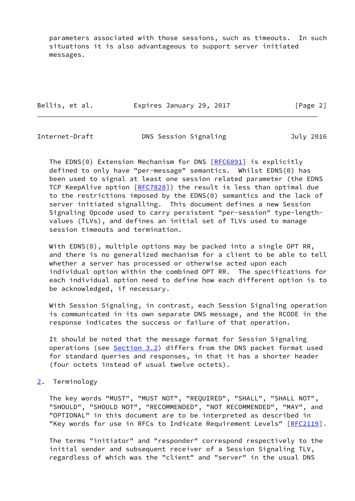parameters associated with those sessions, such as timeouts. In such situations it is also advantageous to support server initiated messages.

| Bellis, et al. | Expires January 29, 2017 | [Page 2] |
|----------------|--------------------------|----------|
|                |                          |          |

<span id="page-2-1"></span>

|  | Internet-Draft | DNS Session Signaling | July 2016 |
|--|----------------|-----------------------|-----------|
|--|----------------|-----------------------|-----------|

The EDNS(0) Extension Mechanism for DNS [\[RFC6891](https://datatracker.ietf.org/doc/pdf/rfc6891)] is explicitly defined to only have "per-message" semantics. Whilst EDNS(0) has been used to signal at least one session related parameter (the EDNS TCP KeepAlive option [\[RFC7828](https://datatracker.ietf.org/doc/pdf/rfc7828)]) the result is less than optimal due to the restrictions imposed by the EDNS(0) semantics and the lack of server initiated signalling. This document defines a new Session Signaling Opcode used to carry persistent "per-session" type-length values (TLVs), and defines an initial set of TLVs used to manage session timeouts and termination.

With EDNS(0), multiple options may be packed into a single OPT RR, and there is no generalized mechanism for a client to be able to tell whether a server has processed or otherwise acted upon each individual option within the combined OPT RR. The specifications for each individual option need to define how each different option is to be acknowledged, if necessary.

 With Session Signaling, in contrast, each Session Signaling operation is communicated in its own separate DNS message, and the RCODE in the response indicates the success or failure of that operation.

 It should be noted that the message format for Session Signaling operations (see [Section 3.2](#page-5-0)) differs from the DNS packet format used for standard queries and responses, in that it has a shorter header (four octets instead of usual twelve octets).

<span id="page-2-0"></span>[2](#page-2-0). Terminology

 The key words "MUST", "MUST NOT", "REQUIRED", "SHALL", "SHALL NOT", "SHOULD", "SHOULD NOT", "RECOMMENDED", "NOT RECOMMENDED", "MAY", and "OPTIONAL" in this document are to be interpreted as described in "Key words for use in RFCs to Indicate Requirement Levels" [[RFC2119\]](https://datatracker.ietf.org/doc/pdf/rfc2119).

 The terms "initiator" and "responder" correspond respectively to the initial sender and subsequent receiver of a Session Signaling TLV, regardless of which was the "client" and "server" in the usual DNS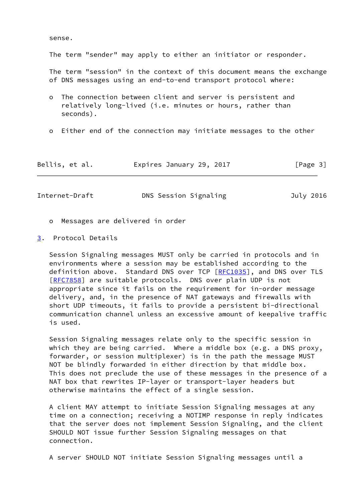sense.

The term "sender" may apply to either an initiator or responder.

 The term "session" in the context of this document means the exchange of DNS messages using an end-to-end transport protocol where:

- o The connection between client and server is persistent and relatively long-lived (i.e. minutes or hours, rather than seconds).
- o Either end of the connection may initiate messages to the other

| Bellis, et al. | Expires January 29, 2017 |  | [Page 3] |
|----------------|--------------------------|--|----------|
|----------------|--------------------------|--|----------|

<span id="page-3-1"></span>

| Internet-Draft<br>DNS Session Signaling | July 2016 |
|-----------------------------------------|-----------|
|-----------------------------------------|-----------|

- o Messages are delivered in order
- <span id="page-3-0"></span>[3](#page-3-0). Protocol Details

 Session Signaling messages MUST only be carried in protocols and in environments where a session may be established according to the definition above. Standard DNS over TCP [\[RFC1035](https://datatracker.ietf.org/doc/pdf/rfc1035)], and DNS over TLS [\[RFC7858](https://datatracker.ietf.org/doc/pdf/rfc7858)] are suitable protocols. DNS over plain UDP is not appropriate since it fails on the requirement for in-order message delivery, and, in the presence of NAT gateways and firewalls with short UDP timeouts, it fails to provide a persistent bi-directional communication channel unless an excessive amount of keepalive traffic is used.

 Session Signaling messages relate only to the specific session in which they are being carried. Where a middle box (e.g. a DNS proxy, forwarder, or session multiplexer) is in the path the message MUST NOT be blindly forwarded in either direction by that middle box. This does not preclude the use of these messages in the presence of a NAT box that rewrites IP-layer or transport-layer headers but otherwise maintains the effect of a single session.

 A client MAY attempt to initiate Session Signaling messages at any time on a connection; receiving a NOTIMP response in reply indicates that the server does not implement Session Signaling, and the client SHOULD NOT issue further Session Signaling messages on that connection.

A server SHOULD NOT initiate Session Signaling messages until a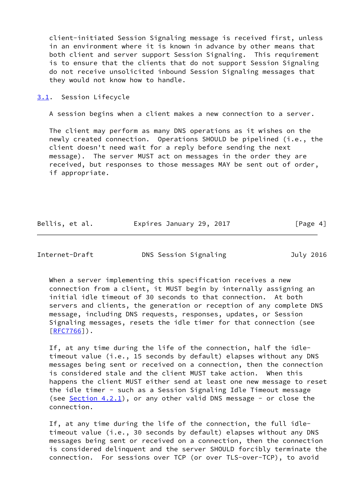client-initiated Session Signaling message is received first, unless in an environment where it is known in advance by other means that both client and server support Session Signaling. This requirement is to ensure that the clients that do not support Session Signaling do not receive unsolicited inbound Session Signaling messages that they would not know how to handle.

<span id="page-4-0"></span>[3.1](#page-4-0). Session Lifecycle

A session begins when a client makes a new connection to a server.

 The client may perform as many DNS operations as it wishes on the newly created connection. Operations SHOULD be pipelined (i.e., the client doesn't need wait for a reply before sending the next message). The server MUST act on messages in the order they are received, but responses to those messages MAY be sent out of order, if appropriate.

| Bellis, et al. | Expires January 29, 2017 | [Page 4] |
|----------------|--------------------------|----------|
|----------------|--------------------------|----------|

<span id="page-4-1"></span>Internet-Draft DNS Session Signaling July 2016

When a server implementing this specification receives a new connection from a client, it MUST begin by internally assigning an initial idle timeout of 30 seconds to that connection. At both servers and clients, the generation or reception of any complete DNS message, including DNS requests, responses, updates, or Session Signaling messages, resets the idle timer for that connection (see  $[RFC7766])$  $[RFC7766])$ .

 If, at any time during the life of the connection, half the idle timeout value (i.e., 15 seconds by default) elapses without any DNS messages being sent or received on a connection, then the connection is considered stale and the client MUST take action. When this happens the client MUST either send at least one new message to reset the idle timer - such as a Session Signaling Idle Timeout message (see  $Section 4.2.1$ ), or any other valid DNS message - or close the connection.

 If, at any time during the life of the connection, the full idle timeout value (i.e., 30 seconds by default) elapses without any DNS messages being sent or received on a connection, then the connection is considered delinquent and the server SHOULD forcibly terminate the connection. For sessions over TCP (or over TLS-over-TCP), to avoid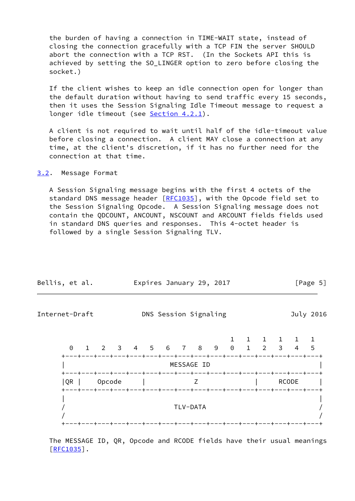the burden of having a connection in TIME-WAIT state, instead of closing the connection gracefully with a TCP FIN the server SHOULD abort the connection with a TCP RST. (In the Sockets API this is achieved by setting the SO\_LINGER option to zero before closing the socket.)

 If the client wishes to keep an idle connection open for longer than the default duration without having to send traffic every 15 seconds, then it uses the Session Signaling Idle Timeout message to request a longer idle timeout (see [Section 4.2.1](#page-8-1)).

 A client is not required to wait until half of the idle-timeout value before closing a connection. A client MAY close a connection at any time, at the client's discretion, if it has no further need for the connection at that time.

<span id="page-5-0"></span>[3.2](#page-5-0). Message Format

 A Session Signaling message begins with the first 4 octets of the standard DNS message header [\[RFC1035](https://datatracker.ietf.org/doc/pdf/rfc1035)], with the Opcode field set to the Session Signaling Opcode. A Session Signaling message does not contain the QDCOUNT, ANCOUNT, NSCOUNT and ARCOUNT fields fields used in standard DNS queries and responses. This 4-octet header is followed by a single Session Signaling TLV.

<span id="page-5-1"></span>

| Bellis, et al. |          |  |        |  | Expires January 29, 2017 |  |  |                       |  |  |  |  |  |                                                                                                                                                         | [Page 5]  |  |  |
|----------------|----------|--|--------|--|--------------------------|--|--|-----------------------|--|--|--|--|--|---------------------------------------------------------------------------------------------------------------------------------------------------------|-----------|--|--|
| Internet-Draft |          |  |        |  |                          |  |  | DNS Session Signaling |  |  |  |  |  |                                                                                                                                                         | July 2016 |  |  |
|                | $\Theta$ |  |        |  |                          |  |  |                       |  |  |  |  |  | $1 \quad 1 \quad 1$                                                                                                                                     |           |  |  |
|                |          |  |        |  |                          |  |  | MESSAGE ID            |  |  |  |  |  | +---+---+---+---+---+---+---+---+---+---+---+---+---+---+---+---+---                                                                                    |           |  |  |
|                | QR       |  | Opcode |  |                          |  |  | Z                     |  |  |  |  |  | ---+---+---+---+---+---+---+---+---+---+---+---+---+---+---+---+<br><b>RCODE</b><br>+---+---+---+---+---+---+---+---+---+---+---+---+---+---+---+---+-- |           |  |  |
|                |          |  |        |  |                          |  |  | TLV-DATA              |  |  |  |  |  | +---+---+---+---+---+---+---+---+---+---+---+---+---+---+---+---+---                                                                                    |           |  |  |

 The MESSAGE ID, QR, Opcode and RCODE fields have their usual meanings [\[RFC1035](https://datatracker.ietf.org/doc/pdf/rfc1035)].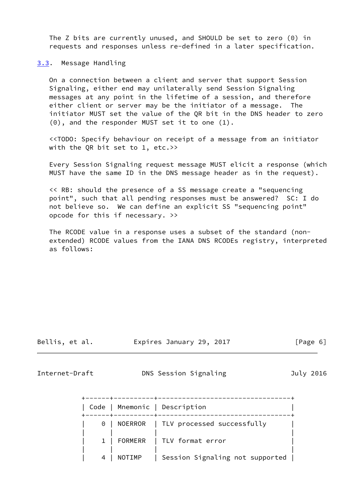The Z bits are currently unused, and SHOULD be set to zero (0) in requests and responses unless re-defined in a later specification.

<span id="page-6-0"></span>[3.3](#page-6-0). Message Handling

 On a connection between a client and server that support Session Signaling, either end may unilaterally send Session Signaling messages at any point in the lifetime of a session, and therefore either client or server may be the initiator of a message. The initiator MUST set the value of the QR bit in the DNS header to zero (0), and the responder MUST set it to one (1).

 <<TODO: Specify behaviour on receipt of a message from an initiator with the QR bit set to 1, etc.>>

 Every Session Signaling request message MUST elicit a response (which MUST have the same ID in the DNS message header as in the request).

 << RB: should the presence of a SS message create a "sequencing point", such that all pending responses must be answered? SC: I do not believe so. We can define an explicit SS "sequencing point" opcode for this if necessary. >>

 The RCODE value in a response uses a subset of the standard (non extended) RCODE values from the IANA DNS RCODEs registry, interpreted as follows:

Bellis, et al. Expires January 29, 2017 [Page 6]

<span id="page-6-1"></span>

Internet-Draft DNS Session Signaling July 2016

| ------+----------+- | Code   Mnemonic   Description            |  |
|---------------------|------------------------------------------|--|
|                     | 0   NOERROR   TLV processed successfully |  |
|                     | 1   FORMERR   TLV format error           |  |
| NOTIMP              | Session Signaling not supported          |  |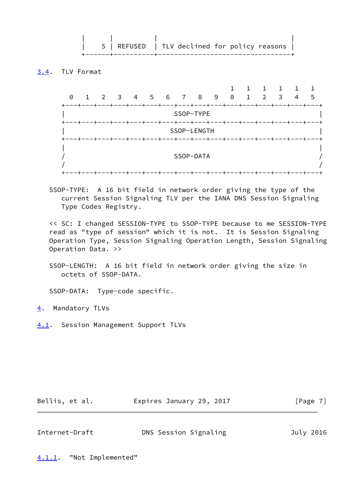| | | | | 5 | REFUSED | TLV declined for policy reasons | +------+----------+---------------------------------+

# <span id="page-7-0"></span>[3.4](#page-7-0). TLV Format

| ——+<br>---+-<br>-+-<br>-+-<br>-+<br>-+<br>--+-<br>-+-<br>-+-<br>-+<br>-+-<br>SSOP-TYPE<br>┿<br>SSOP-LENGTH<br>--+---+-<br>+−<br>SSOP-DATA | $\Theta$ | $\mathbf{1}$ | 2 3 4 5 6 7 8 9 0 |  |  |  | $\overline{1}$ | 2 | $\mathbf{1}$<br>$\overline{\mathbf{3}}$ | 4 | 5 |
|-------------------------------------------------------------------------------------------------------------------------------------------|----------|--------------|-------------------|--|--|--|----------------|---|-----------------------------------------|---|---|
|                                                                                                                                           |          |              |                   |  |  |  |                |   |                                         |   |   |
|                                                                                                                                           |          |              |                   |  |  |  |                |   |                                         |   |   |
|                                                                                                                                           |          |              |                   |  |  |  |                |   |                                         |   |   |

 SSOP-TYPE: A 16 bit field in network order giving the type of the current Session Signaling TLV per the IANA DNS Session Signaling Type Codes Registry.

 << SC: I changed SESSION-TYPE to SSOP-TYPE because to me SESSION-TYPE read as "type of session" which it is not. It is Session Signaling Operation Type, Session Signaling Operation Length, Session Signaling Operation Data. >>

 SSOP-LENGTH: A 16 bit field in network order giving the size in octets of SSOP-DATA.

SSOP-DATA: Type-code specific.

<span id="page-7-1"></span>[4](#page-7-1). Mandatory TLVs

<span id="page-7-2"></span>[4.1](#page-7-2). Session Management Support TLVs

|  | Bellis, et al. | Expires January 29, 2017 | [Page 7] |
|--|----------------|--------------------------|----------|
|--|----------------|--------------------------|----------|

<span id="page-7-4"></span>

| Internet-Draft | DNS Session Signaling | July 2016 |
|----------------|-----------------------|-----------|
|                |                       |           |

<span id="page-7-3"></span>[4.1.1](#page-7-3). "Not Implemented"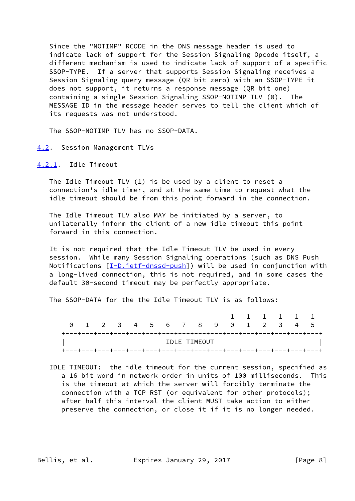Since the "NOTIMP" RCODE in the DNS message header is used to indicate lack of support for the Session Signaling Opcode itself, a different mechanism is used to indicate lack of support of a specific SSOP-TYPE. If a server that supports Session Signaling receives a Session Signaling query message (QR bit zero) with an SSOP-TYPE it does not support, it returns a response message (QR bit one) containing a single Session Signaling SSOP-NOTIMP TLV (0). The MESSAGE ID in the message header serves to tell the client which of its requests was not understood.

The SSOP-NOTIMP TLV has no SSOP-DATA.

#### <span id="page-8-0"></span>[4.2](#page-8-0). Session Management TLVs

#### <span id="page-8-1"></span>[4.2.1](#page-8-1). Idle Timeout

 The Idle Timeout TLV (1) is be used by a client to reset a connection's idle timer, and at the same time to request what the idle timeout should be from this point forward in the connection.

 The Idle Timeout TLV also MAY be initiated by a server, to unilaterally inform the client of a new idle timeout this point forward in this connection.

 It is not required that the Idle Timeout TLV be used in every session. While many Session Signaling operations (such as DNS Push Notifications  $[I-D.iett-dnssd-push]$  will be used in conjunction with a long-lived connection, this is not required, and in some cases the default 30-second timeout may be perfectly appropriate.

The SSOP-DATA for the the Idle Timeout TLV is as follows:

|  |  |                                 |  |  |              |  | 1 1 1 1 1 1 |  |                                                                    |
|--|--|---------------------------------|--|--|--------------|--|-------------|--|--------------------------------------------------------------------|
|  |  | 0 1 2 3 4 5 6 7 8 9 0 1 2 3 4 5 |  |  |              |  |             |  |                                                                    |
|  |  |                                 |  |  |              |  |             |  | +---+---+---+---+---+---+---+---+---+---+---+---+---+---+---+---+- |
|  |  |                                 |  |  | IDLE TIMEOUT |  |             |  |                                                                    |
|  |  |                                 |  |  |              |  |             |  | +---+---+---+---+---+---+---+---+---+---+---+---+---+---+---+---+- |

 IDLE TIMEOUT: the idle timeout for the current session, specified as a 16 bit word in network order in units of 100 milliseconds. This is the timeout at which the server will forcibly terminate the connection with a TCP RST (or equivalent for other protocols); after half this interval the client MUST take action to either preserve the connection, or close it if it is no longer needed.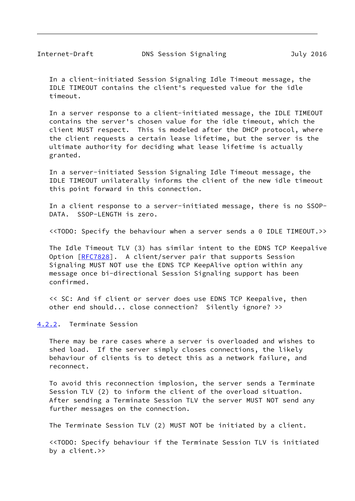<span id="page-9-1"></span> In a client-initiated Session Signaling Idle Timeout message, the IDLE TIMEOUT contains the client's requested value for the idle timeout.

 In a server response to a client-initiated message, the IDLE TIMEOUT contains the server's chosen value for the idle timeout, which the client MUST respect. This is modeled after the DHCP protocol, where the client requests a certain lease lifetime, but the server is the ultimate authority for deciding what lease lifetime is actually granted.

 In a server-initiated Session Signaling Idle Timeout message, the IDLE TIMEOUT unilaterally informs the client of the new idle timeout this point forward in this connection.

 In a client response to a server-initiated message, there is no SSOP- DATA. SSOP-LENGTH is zero.

<<TODO: Specify the behaviour when a server sends a 0 IDLE TIMEOUT.>>

 The Idle Timeout TLV (3) has similar intent to the EDNS TCP Keepalive Option [\[RFC7828](https://datatracker.ietf.org/doc/pdf/rfc7828)]. A client/server pair that supports Session Signaling MUST NOT use the EDNS TCP KeepAlive option within any message once bi-directional Session Signaling support has been confirmed.

 << SC: And if client or server does use EDNS TCP Keepalive, then other end should... close connection? Silently ignore? >>

### <span id="page-9-0"></span>[4.2.2](#page-9-0). Terminate Session

 There may be rare cases where a server is overloaded and wishes to shed load. If the server simply closes connections, the likely behaviour of clients is to detect this as a network failure, and reconnect.

 To avoid this reconnection implosion, the server sends a Terminate Session TLV (2) to inform the client of the overload situation. After sending a Terminate Session TLV the server MUST NOT send any further messages on the connection.

The Terminate Session TLV (2) MUST NOT be initiated by a client.

 <<TODO: Specify behaviour if the Terminate Session TLV is initiated by a client.>>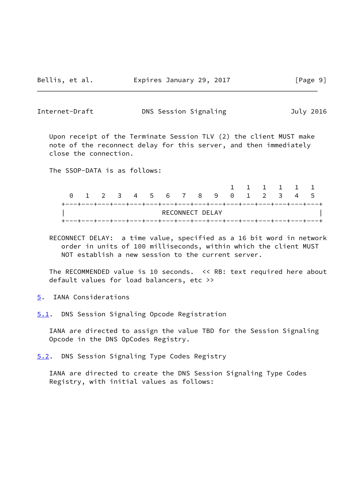<span id="page-10-1"></span>Internet-Draft **DNS Session Signaling 1998** July 2016

 Upon receipt of the Terminate Session TLV (2) the client MUST make note of the reconnect delay for this server, and then immediately close the connection.

The SSOP-DATA is as follows:

|                                                                       | 0 1 2 3 4 5 6 7 8 9 0 1 2 3 4 5 |  |                 |  |  |  |  |  |
|-----------------------------------------------------------------------|---------------------------------|--|-----------------|--|--|--|--|--|
| +---+---+---+---+---+---+---+---+---+---+---+---+---+---+---+---+---+ |                                 |  |                 |  |  |  |  |  |
|                                                                       |                                 |  | RECONNECT DELAY |  |  |  |  |  |

 RECONNECT DELAY: a time value, specified as a 16 bit word in network order in units of 100 milliseconds, within which the client MUST NOT establish a new session to the current server.

 The RECOMMENDED value is 10 seconds. << RB: text required here about default values for load balancers, etc >>

<span id="page-10-0"></span>[5](#page-10-0). IANA Considerations

<span id="page-10-2"></span>[5.1](#page-10-2). DNS Session Signaling Opcode Registration

 IANA are directed to assign the value TBD for the Session Signaling Opcode in the DNS OpCodes Registry.

<span id="page-10-3"></span>[5.2](#page-10-3). DNS Session Signaling Type Codes Registry

 IANA are directed to create the DNS Session Signaling Type Codes Registry, with initial values as follows: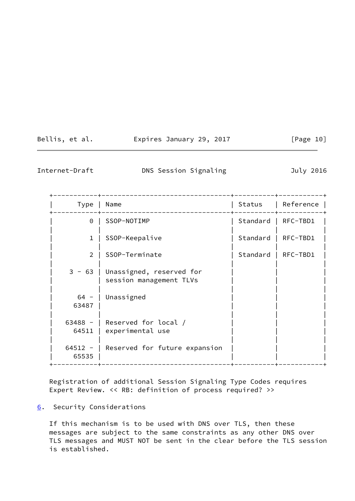| Bellis, et al. |  | Expires January 29, 2017 |  | [Page 10] |
|----------------|--|--------------------------|--|-----------|
|----------------|--|--------------------------|--|-----------|

<span id="page-11-1"></span>

Internet-Draft **DNS Session Signaling** July 2016

 +-----------+--------------------------------+----------+-----------+ | Type | Name | Status | Reference | +-----------+--------------------------------+----------+-----------+ 0 | SSOP-NOTIMP | Standard | RFC-TBD1 | | | | | 1 | SSOP-Keepalive | Standard | RFC-TBD1 | | | | | 2 | SSOP-Terminate | Standard | RFC-TBD1 | | | | | 3 - 63 | Unassigned, reserved for | session management TLVs | | | | |  $64 - |$  Unassigned | 63487 | | | | | | | | |  $63488 - |$  Reserved for local / 64511 | experimental use | | | | |  $64512 - |$  Reserved for future expansion | 65535 | | | | +-----------+--------------------------------+----------+-----------+

 Registration of additional Session Signaling Type Codes requires Expert Review. << RB: definition of process required? >>

# <span id="page-11-0"></span>[6](#page-11-0). Security Considerations

 If this mechanism is to be used with DNS over TLS, then these messages are subject to the same constraints as any other DNS over TLS messages and MUST NOT be sent in the clear before the TLS session is established.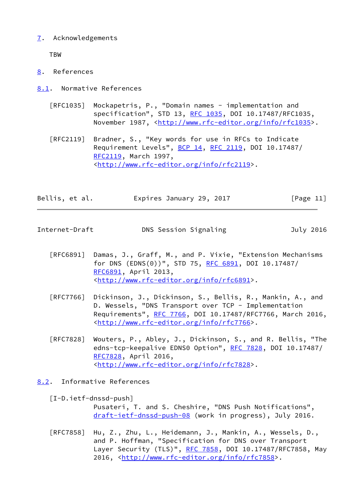# <span id="page-12-0"></span>[7](#page-12-0). Acknowledgements

TBW

- <span id="page-12-1"></span>[8](#page-12-1). References
- <span id="page-12-2"></span>[8.1](#page-12-2). Normative References
	- [RFC1035] Mockapetris, P., "Domain names implementation and specification", STD 13, [RFC 1035,](https://datatracker.ietf.org/doc/pdf/rfc1035) DOI 10.17487/RFC1035, November 1987, <<http://www.rfc-editor.org/info/rfc1035>>.

 [RFC2119] Bradner, S., "Key words for use in RFCs to Indicate Requirement Levels", [BCP 14](https://datatracker.ietf.org/doc/pdf/bcp14), [RFC 2119](https://datatracker.ietf.org/doc/pdf/rfc2119), DOI 10.17487/ [RFC2119](https://datatracker.ietf.org/doc/pdf/rfc2119), March 1997, <<http://www.rfc-editor.org/info/rfc2119>>.

| Bellis, et al. | Expires January 29, 2017 | [Page 11] |
|----------------|--------------------------|-----------|
|                |                          |           |

<span id="page-12-4"></span>Internet-Draft **DNS** Session Signaling **DRS** July 2016

- [RFC6891] Damas, J., Graff, M., and P. Vixie, "Extension Mechanisms for DNS (EDNS(0))", STD 75, [RFC 6891,](https://datatracker.ietf.org/doc/pdf/rfc6891) DOI 10.17487/ [RFC6891](https://datatracker.ietf.org/doc/pdf/rfc6891), April 2013, <<http://www.rfc-editor.org/info/rfc6891>>.
- [RFC7766] Dickinson, J., Dickinson, S., Bellis, R., Mankin, A., and D. Wessels, "DNS Transport over TCP - Implementation Requirements", [RFC 7766](https://datatracker.ietf.org/doc/pdf/rfc7766), DOI 10.17487/RFC7766, March 2016, <<http://www.rfc-editor.org/info/rfc7766>>.
- [RFC7828] Wouters, P., Abley, J., Dickinson, S., and R. Bellis, "The edns-tcp-keepalive EDNS0 Option", [RFC 7828](https://datatracker.ietf.org/doc/pdf/rfc7828), DOI 10.17487/ [RFC7828](https://datatracker.ietf.org/doc/pdf/rfc7828), April 2016, <<http://www.rfc-editor.org/info/rfc7828>>.

<span id="page-12-3"></span>[8.2](#page-12-3). Informative References

<span id="page-12-5"></span> [I-D.ietf-dnssd-push] Pusateri, T. and S. Cheshire, "DNS Push Notifications", [draft-ietf-dnssd-push-08](https://datatracker.ietf.org/doc/pdf/draft-ietf-dnssd-push-08) (work in progress), July 2016.

 [RFC7858] Hu, Z., Zhu, L., Heidemann, J., Mankin, A., Wessels, D., and P. Hoffman, "Specification for DNS over Transport Layer Security (TLS)", [RFC 7858](https://datatracker.ietf.org/doc/pdf/rfc7858), DOI 10.17487/RFC7858, May 2016, [<http://www.rfc-editor.org/info/rfc7858](http://www.rfc-editor.org/info/rfc7858)>.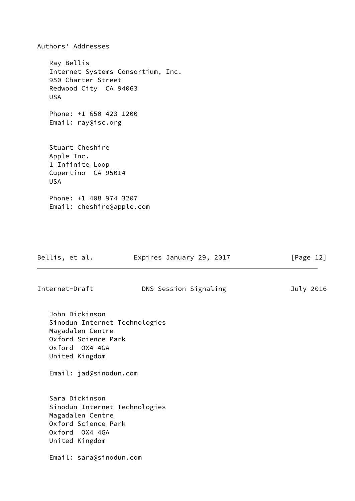Authors' Addresses Ray Bellis Internet Systems Consortium, Inc. 950 Charter Street Redwood City CA 94063 USA Phone: +1 650 423 1200 Email: ray@isc.org Stuart Cheshire Apple Inc. 1 Infinite Loop Cupertino CA 95014 USA Phone: +1 408 974 3207 Email: cheshire@apple.com

| Bellis, et al.                                                                                                                                           | Expires January 29, 2017 | [Page 12] |
|----------------------------------------------------------------------------------------------------------------------------------------------------------|--------------------------|-----------|
| Internet-Draft                                                                                                                                           | DNS Session Signaling    | July 2016 |
| John Dickinson<br>Sinodun Internet Technologies<br>Magadalen Centre<br>Oxford Science Park<br>Oxford OX4 4GA<br>United Kingdom<br>Email: jad@sinodun.com |                          |           |
| Sara Dickinson<br>Sinodun Internet Technologies<br>Magadalen Centre<br>Oxford Science Park<br>Oxford OX4 4GA<br>United Kingdom                           |                          |           |
| Email: sara@sinodun.com                                                                                                                                  |                          |           |